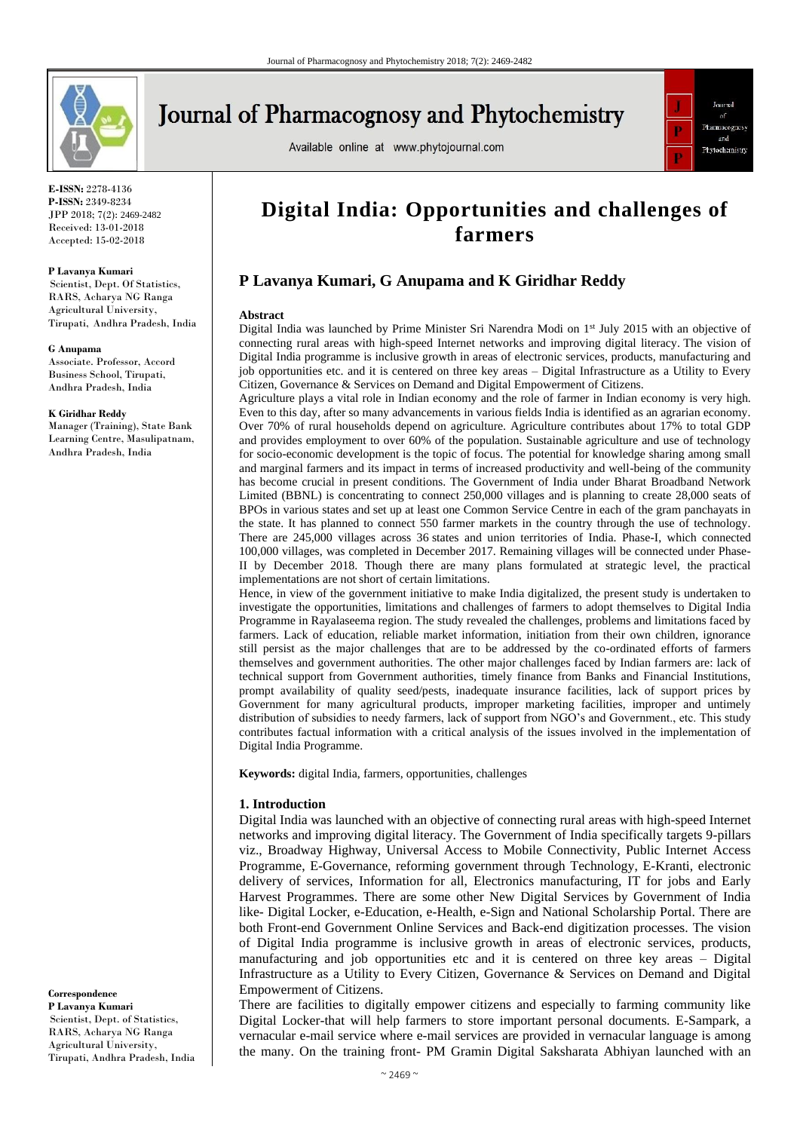

# **Journal of Pharmacognosy and Phytochemistry**

Available online at www.phytojournal.com



**E-ISSN:** 2278-4136 **P-ISSN:** 2349-8234 JPP 2018; 7(2): 2469-2482 Received: 13-01-2018 Accepted: 15-02-2018

#### **P Lavanya Kumari**

Scientist, Dept. Of Statistics, RARS, Acharya NG Ranga Agricultural University, Tirupati, Andhra Pradesh, India

#### **G Anupama**

Associate. Professor, Accord Business School, Tirupati, Andhra Pradesh, India

#### **K Giridhar Reddy**

Manager (Training), State Bank Learning Centre, Masulipatnam, Andhra Pradesh, India

**Correspondence P Lavanya Kumari** Scientist, Dept. of Statistics, RARS, Acharya NG Ranga Agricultural University, Tirupati, Andhra Pradesh, India

## **Digital India: Opportunities and challenges of farmers**

## **P Lavanya Kumari, G Anupama and K Giridhar Reddy**

#### **Abstract**

Digital India was launched by Prime Minister Sri Narendra Modi on 1st July 2015 with an objective of connecting rural areas with high-speed Internet networks and improving digital literacy. The vision of Digital India programme is inclusive growth in areas of electronic services, products, manufacturing and job opportunities etc. and it is centered on three key areas – Digital Infrastructure as a Utility to Every Citizen, Governance & Services on Demand and Digital Empowerment of Citizens.

Agriculture plays a vital role in Indian economy and the role of farmer in Indian economy is very high. Even to this day, after so many advancements in various fields India is identified as an agrarian economy. Over 70% of rural households depend on agriculture. Agriculture contributes about 17% to total GDP and provides employment to over 60% of the population. Sustainable agriculture and use of technology for socio-economic development is the topic of focus. The potential for knowledge sharing among small and marginal farmers and its impact in terms of increased productivity and well-being of the community has become crucial in present conditions. The Government of India under Bharat Broadband Network Limited (BBNL) is concentrating to connect 250,000 villages and is planning to create 28,000 seats of BPOs in various states and set up at least one Common Service Centre in each of the gram panchayats in the state. It has planned to connect 550 farmer markets in the country through the use of technology. There are 245,000 villages across 36 states and union territories of India. Phase-I, which connected 100,000 villages, was completed in December 2017. Remaining villages will be connected under Phase-II by December 2018. Though there are many plans formulated at strategic level, the practical implementations are not short of certain limitations.

Hence, in view of the government initiative to make India digitalized, the present study is undertaken to investigate the opportunities, limitations and challenges of farmers to adopt themselves to Digital India Programme in Rayalaseema region. The study revealed the challenges, problems and limitations faced by farmers. Lack of education, reliable market information, initiation from their own children, ignorance still persist as the major challenges that are to be addressed by the co-ordinated efforts of farmers themselves and government authorities. The other major challenges faced by Indian farmers are: lack of technical support from Government authorities, timely finance from Banks and Financial Institutions, prompt availability of quality seed/pests, inadequate insurance facilities, lack of support prices by Government for many agricultural products, improper marketing facilities, improper and untimely distribution of subsidies to needy farmers, lack of support from NGO's and Government., etc. This study contributes factual information with a critical analysis of the issues involved in the implementation of Digital India Programme.

**Keywords:** digital India, farmers, opportunities, challenges

#### **1. Introduction**

Digital India was launched with an objective of connecting rural areas with high-speed Internet networks and improving digital literacy. The Government of India specifically targets 9-pillars viz., Broadway Highway, Universal Access to Mobile Connectivity, Public Internet Access Programme, E-Governance, reforming government through Technology, E-Kranti, electronic delivery of services, Information for all, Electronics manufacturing, IT for jobs and Early Harvest Programmes. There are some other New Digital Services by Government of India like- Digital Locker, e-Education, e-Health, e-Sign and National Scholarship Portal. There are both Front-end Government Online Services and Back-end digitization processes. The vision of Digital India programme is inclusive growth in areas of electronic services, products, manufacturing and job opportunities etc and it is centered on three key areas – Digital Infrastructure as a Utility to Every Citizen, Governance & Services on Demand and Digital Empowerment of Citizens.

There are facilities to digitally empower citizens and especially to farming community like Digital Locker-that will help farmers to store important personal documents. E-Sampark, a vernacular e-mail service where e-mail services are provided in vernacular language is among the many. On the training front- PM Gramin Digital Saksharata Abhiyan launched with an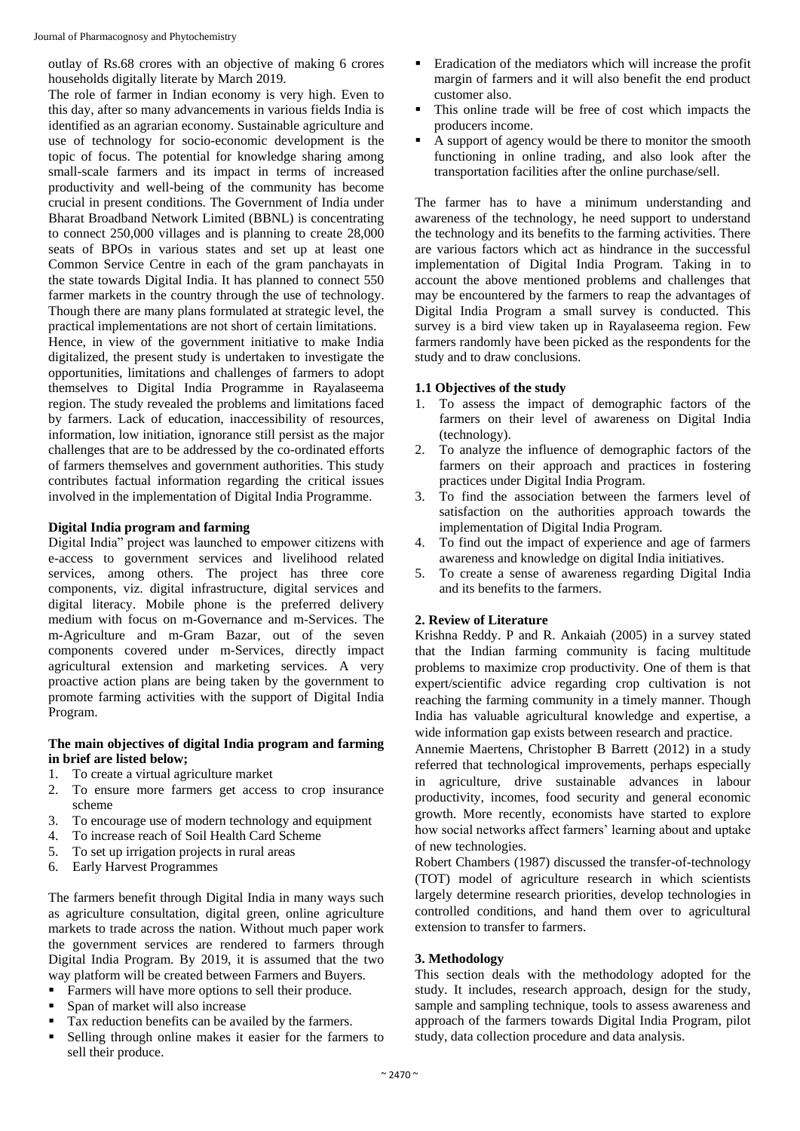outlay of Rs.68 crores with an objective of making 6 crores households digitally literate by March 2019.

The role of farmer in Indian economy is very high. Even to this day, after so many advancements in various fields India is identified as an agrarian economy. Sustainable agriculture and use of technology for socio-economic development is the topic of focus. The potential for knowledge sharing among small-scale farmers and its impact in terms of increased productivity and well-being of the community has become crucial in present conditions. The Government of India under Bharat Broadband Network Limited (BBNL) is concentrating to connect 250,000 villages and is planning to create 28,000 seats of BPOs in various states and set up at least one Common Service Centre in each of the gram panchayats in the state towards Digital India. It has planned to connect 550 farmer markets in the country through the use of technology. Though there are many plans formulated at strategic level, the practical implementations are not short of certain limitations.

Hence, in view of the government initiative to make India digitalized, the present study is undertaken to investigate the opportunities, limitations and challenges of farmers to adopt themselves to Digital India Programme in Rayalaseema region. The study revealed the problems and limitations faced by farmers. Lack of education, inaccessibility of resources, information, low initiation, ignorance still persist as the major challenges that are to be addressed by the co-ordinated efforts of farmers themselves and government authorities. This study contributes factual information regarding the critical issues involved in the implementation of Digital India Programme.

#### **Digital India program and farming**

Digital India" project was launched to empower citizens with e-access to government services and livelihood related services, among others. The project has three core components, viz. digital infrastructure, digital services and digital literacy. Mobile phone is the preferred delivery medium with focus on m-Governance and m-Services. The m-Agriculture and m-Gram Bazar, out of the seven components covered under m-Services, directly impact agricultural extension and marketing services. A very proactive action plans are being taken by the government to promote farming activities with the support of Digital India Program.

#### **The main objectives of digital India program and farming in brief are listed below;**

- 1. To create a virtual agriculture market
- 2. To ensure more farmers get access to crop insurance scheme
- 3. To encourage use of modern technology and equipment
- 4. To increase reach of Soil Health Card Scheme
- 5. To set up irrigation projects in rural areas
- 6. Early Harvest Programmes

The farmers benefit through Digital India in many ways such as agriculture consultation, digital green, online agriculture markets to trade across the nation. Without much paper work the government services are rendered to farmers through Digital India Program. By 2019, it is assumed that the two way platform will be created between Farmers and Buyers.

- Farmers will have more options to sell their produce.
- Span of market will also increase
- Tax reduction benefits can be availed by the farmers.
- Selling through online makes it easier for the farmers to sell their produce.
- Eradication of the mediators which will increase the profit margin of farmers and it will also benefit the end product customer also.
- This online trade will be free of cost which impacts the producers income.
- A support of agency would be there to monitor the smooth functioning in online trading, and also look after the transportation facilities after the online purchase/sell.

The farmer has to have a minimum understanding and awareness of the technology, he need support to understand the technology and its benefits to the farming activities. There are various factors which act as hindrance in the successful implementation of Digital India Program. Taking in to account the above mentioned problems and challenges that may be encountered by the farmers to reap the advantages of Digital India Program a small survey is conducted. This survey is a bird view taken up in Rayalaseema region. Few farmers randomly have been picked as the respondents for the study and to draw conclusions.

### **1.1 Objectives of the study**

- 1. To assess the impact of demographic factors of the farmers on their level of awareness on Digital India (technology).
- 2. To analyze the influence of demographic factors of the farmers on their approach and practices in fostering practices under Digital India Program.
- 3. To find the association between the farmers level of satisfaction on the authorities approach towards the implementation of Digital India Program.
- 4. To find out the impact of experience and age of farmers awareness and knowledge on digital India initiatives.
- 5. To create a sense of awareness regarding Digital India and its benefits to the farmers.

#### **2. Review of Literature**

Krishna Reddy. P and R. Ankaiah (2005) in a survey stated that the Indian farming community is facing multitude problems to maximize crop productivity. One of them is that expert/scientific advice regarding crop cultivation is not reaching the farming community in a timely manner. Though India has valuable agricultural knowledge and expertise, a wide information gap exists between research and practice.

Annemie Maertens, Christopher B Barrett (2012) in a study referred that technological improvements, perhaps especially in agriculture, drive sustainable advances in labour productivity, incomes, food security and general economic growth. More recently, economists have started to explore how social networks affect farmers' learning about and uptake of new technologies.

Robert Chambers (1987) discussed the transfer-of-technology (TOT) model of agriculture research in which scientists largely determine research priorities, develop technologies in controlled conditions, and hand them over to agricultural extension to transfer to farmers.

#### **3. Methodology**

This section deals with the methodology adopted for the study. It includes, research approach, design for the study, sample and sampling technique, tools to assess awareness and approach of the farmers towards Digital India Program, pilot study, data collection procedure and data analysis.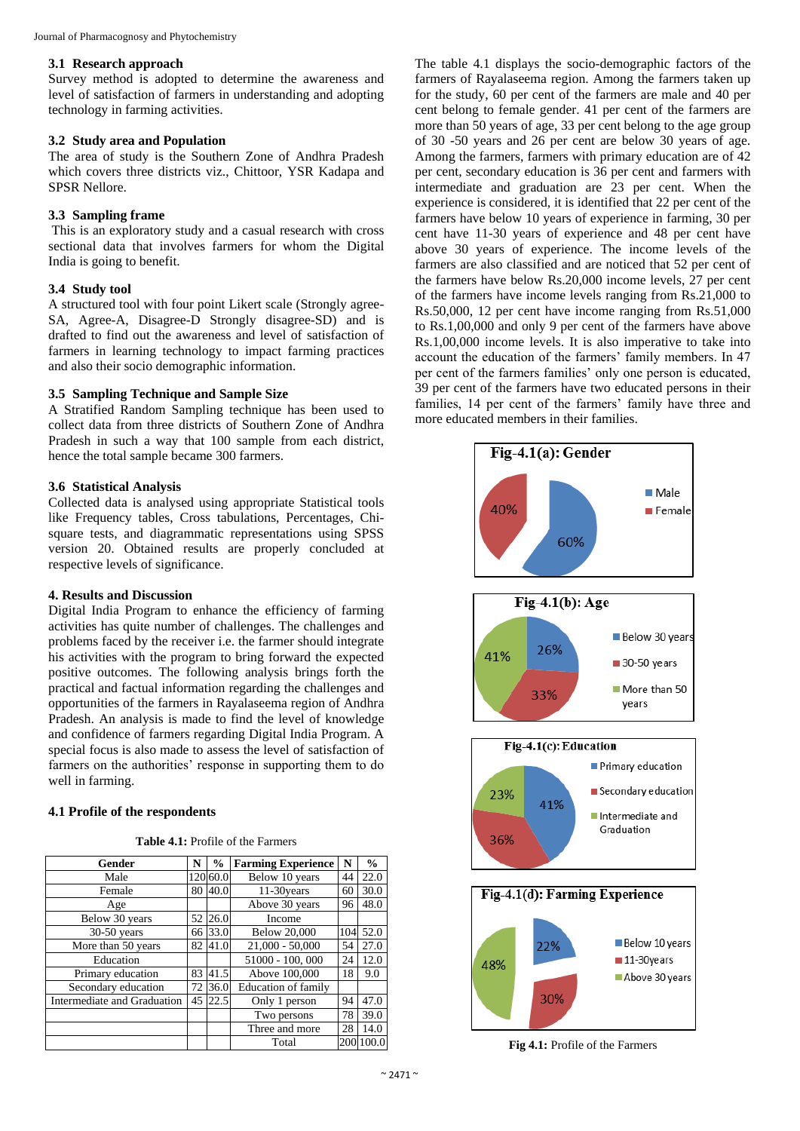#### **3.1 Research approach**

Survey method is adopted to determine the awareness and level of satisfaction of farmers in understanding and adopting technology in farming activities.

#### **3.2 Study area and Population**

The area of study is the Southern Zone of Andhra Pradesh which covers three districts viz., Chittoor, YSR Kadapa and SPSR Nellore.

### **3.3 Sampling frame**

This is an exploratory study and a casual research with cross sectional data that involves farmers for whom the Digital India is going to benefit.

#### **3.4 Study tool**

A structured tool with four point Likert scale (Strongly agree-SA, Agree-A, Disagree-D Strongly disagree-SD) and is drafted to find out the awareness and level of satisfaction of farmers in learning technology to impact farming practices and also their socio demographic information.

#### **3.5 Sampling Technique and Sample Size**

A Stratified Random Sampling technique has been used to collect data from three districts of Southern Zone of Andhra Pradesh in such a way that 100 sample from each district, hence the total sample became 300 farmers.

#### **3.6 Statistical Analysis**

Collected data is analysed using appropriate Statistical tools like Frequency tables, Cross tabulations, Percentages, Chisquare tests, and diagrammatic representations using SPSS version 20. Obtained results are properly concluded at respective levels of significance.

#### **4. Results and Discussion**

Digital India Program to enhance the efficiency of farming activities has quite number of challenges. The challenges and problems faced by the receiver i.e. the farmer should integrate his activities with the program to bring forward the expected positive outcomes. The following analysis brings forth the practical and factual information regarding the challenges and opportunities of the farmers in Rayalaseema region of Andhra Pradesh. An analysis is made to find the level of knowledge and confidence of farmers regarding Digital India Program. A special focus is also made to assess the level of satisfaction of farmers on the authorities' response in supporting them to do well in farming.

#### **4.1 Profile of the respondents**

|  |  |  |  |  | <b>Table 4.1:</b> Profile of the Farmers |
|--|--|--|--|--|------------------------------------------|
|--|--|--|--|--|------------------------------------------|

| Gender                      | N  | $\frac{6}{9}$ | <b>Farming Experience</b>  | N   | $\frac{6}{9}$ |
|-----------------------------|----|---------------|----------------------------|-----|---------------|
| Male                        |    | 120 60.0      | Below 10 years             | 44  | 22.0          |
| Female                      | 80 | 40.0          | 11-30 years                | 60  | 30.0          |
| Age                         |    |               | Above 30 years             | 96  | 48.0          |
| Below 30 years              | 52 | 26.0          | Income                     |     |               |
| $30-50$ years               |    | 66 33.0       | <b>Below 20,000</b>        | 104 | 52.0          |
| More than 50 years          |    | 82 41.0       | $21,000 - 50,000$          | 54  | 27.0          |
| Education                   |    |               | 51000 - 100, 000           | 24  | 12.0          |
| Primary education           | 83 | 41.5          | Above 100,000              | 18  | 9.0           |
| Secondary education         | 72 | 36.0          | <b>Education of family</b> |     |               |
| Intermediate and Graduation |    | 45 22.5       | Only 1 person              | 94  | 47.0          |
|                             |    |               | Two persons                | 78  | 39.0          |
|                             |    |               | Three and more             | 28  | 14.0          |
|                             |    |               | Total                      | 200 |               |

The table 4.1 displays the socio-demographic factors of the farmers of Rayalaseema region. Among the farmers taken up for the study, 60 per cent of the farmers are male and 40 per cent belong to female gender. 41 per cent of the farmers are more than 50 years of age, 33 per cent belong to the age group of 30 -50 years and 26 per cent are below 30 years of age. Among the farmers, farmers with primary education are of 42 per cent, secondary education is 36 per cent and farmers with intermediate and graduation are 23 per cent. When the experience is considered, it is identified that 22 per cent of the farmers have below 10 years of experience in farming, 30 per cent have 11-30 years of experience and 48 per cent have above 30 years of experience. The income levels of the farmers are also classified and are noticed that 52 per cent of the farmers have below Rs.20,000 income levels, 27 per cent of the farmers have income levels ranging from Rs.21,000 to Rs.50,000, 12 per cent have income ranging from Rs.51,000 to Rs.1,00,000 and only 9 per cent of the farmers have above Rs.1,00,000 income levels. It is also imperative to take into account the education of the farmers' family members. In 47 per cent of the farmers families' only one person is educated, 39 per cent of the farmers have two educated persons in their families, 14 per cent of the farmers' family have three and more educated members in their families.



**Fig 4.1:** Profile of the Farmers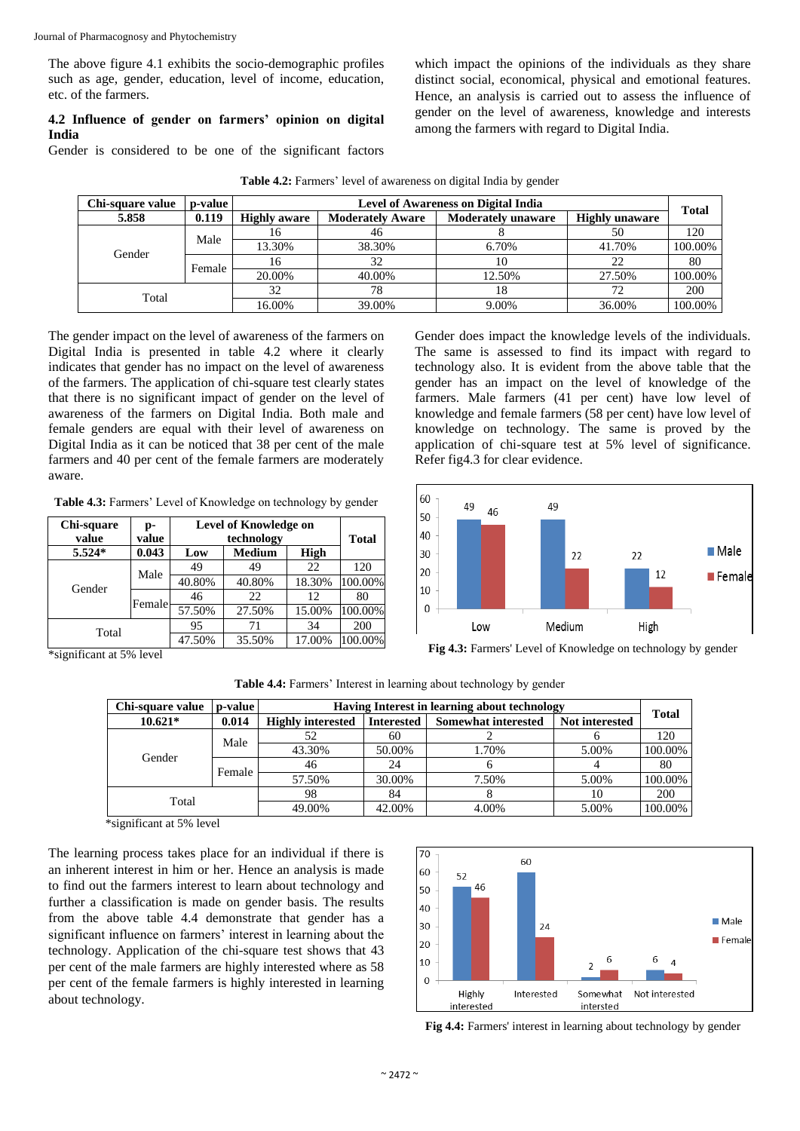The above figure 4.1 exhibits the socio-demographic profiles such as age, gender, education, level of income, education, etc. of the farmers.

#### **4.2 Influence of gender on farmers' opinion on digital India**

Gender is considered to be one of the significant factors

which impact the opinions of the individuals as they share distinct social, economical, physical and emotional features. Hence, an analysis is carried out to assess the influence of gender on the level of awareness, knowledge and interests among the farmers with regard to Digital India.

| Chi-square value | p-value |                     | <b>Level of Awareness on Digital India</b> |                           |                       |              |  |
|------------------|---------|---------------------|--------------------------------------------|---------------------------|-----------------------|--------------|--|
| 5.858            | 0.119   | <b>Highly aware</b> | <b>Moderately Aware</b>                    | <b>Moderately unaware</b> | <b>Highly unaware</b> | <b>Total</b> |  |
|                  |         | 16                  | 46                                         |                           | 50                    | 120          |  |
| Gender           | Male    | 13.30%              | 38.30%                                     | 6.70%                     | 41.70%                | 100.00%      |  |
|                  | Female  | 16                  | 32                                         | 10                        | 22                    | 80           |  |
|                  |         | 20.00%              | 40.00%                                     | 12.50%                    | 27.50%                | 100.00%      |  |
| Total            |         | 32                  | 78                                         | 18                        | 72                    | 200          |  |
|                  |         | 16.00%              | 39.00%                                     | $9.00\%$                  | 36.00%                | 100.00%      |  |

**Table 4.2:** Farmers' level of awareness on digital India by gender

The gender impact on the level of awareness of the farmers on Digital India is presented in table 4.2 where it clearly indicates that gender has no impact on the level of awareness of the farmers. The application of chi-square test clearly states that there is no significant impact of gender on the level of awareness of the farmers on Digital India. Both male and female genders are equal with their level of awareness on Digital India as it can be noticed that 38 per cent of the male farmers and 40 per cent of the female farmers are moderately aware.

**Table 4.3:** Farmers' Level of Knowledge on technology by gender

| Chi-square<br>p- |        | <b>Level of Knowledge on</b> |               |        |              |
|------------------|--------|------------------------------|---------------|--------|--------------|
| value            | value  |                              | technology    |        | <b>Total</b> |
| 5.524*           | 0.043  | Low                          | <b>Medium</b> | High   |              |
|                  | Male   | 49                           | 49            | 22     | 120          |
| Gender           |        | 40.80%                       | 40.80%        | 18.30% | 100.00%      |
|                  | Female | 46                           | 22            | 12     | 80           |
|                  |        | 57.50%                       | 27.50%        | 15.00% | 100.00%      |
| Total            |        | 95                           | 71            | 34     | 200          |
|                  |        | 47.50%                       | 35.50%        | 17.00% | 100.00%      |

Gender does impact the knowledge levels of the individuals. The same is assessed to find its impact with regard to technology also. It is evident from the above table that the gender has an impact on the level of knowledge of the farmers. Male farmers (41 per cent) have low level of knowledge and female farmers (58 per cent) have low level of knowledge on technology. The same is proved by the application of chi-square test at 5% level of significance. Refer fig4.3 for clear evidence.



\*significant at 5% level

**Table 4.4:** Farmers' Interest in learning about technology by gender

| Chi-square value<br>p-value<br>Having Interest in learning about technology |        |                          |                   |                            |                |              |  |
|-----------------------------------------------------------------------------|--------|--------------------------|-------------------|----------------------------|----------------|--------------|--|
| $10.621*$                                                                   | 0.014  | <b>Highly interested</b> | <b>Interested</b> | <b>Somewhat interested</b> | Not interested | <b>Total</b> |  |
| Male                                                                        |        | 52                       | 60                |                            |                | 120          |  |
| Gender                                                                      |        | 43.30%                   | 50.00%            | 1.70%                      | 5.00%          | 100.00%      |  |
|                                                                             | Female | 46                       | 24                |                            |                | 80           |  |
|                                                                             |        | 57.50%                   | 30.00%            | 7.50%                      | 5.00%          | 100.00%      |  |
| Total                                                                       |        | 98                       | 84                |                            | 10             | 200          |  |
|                                                                             |        | 49.00%                   | 42.00%            | 4.00%                      | 5.00%          | 100.00%      |  |

\*significant at 5% level

The learning process takes place for an individual if there is an inherent interest in him or her. Hence an analysis is made to find out the farmers interest to learn about technology and further a classification is made on gender basis. The results from the above table 4.4 demonstrate that gender has a significant influence on farmers' interest in learning about the technology. Application of the chi-square test shows that 43 per cent of the male farmers are highly interested where as 58 per cent of the female farmers is highly interested in learning about technology.



**Fig 4.4:** Farmers' interest in learning about technology by gender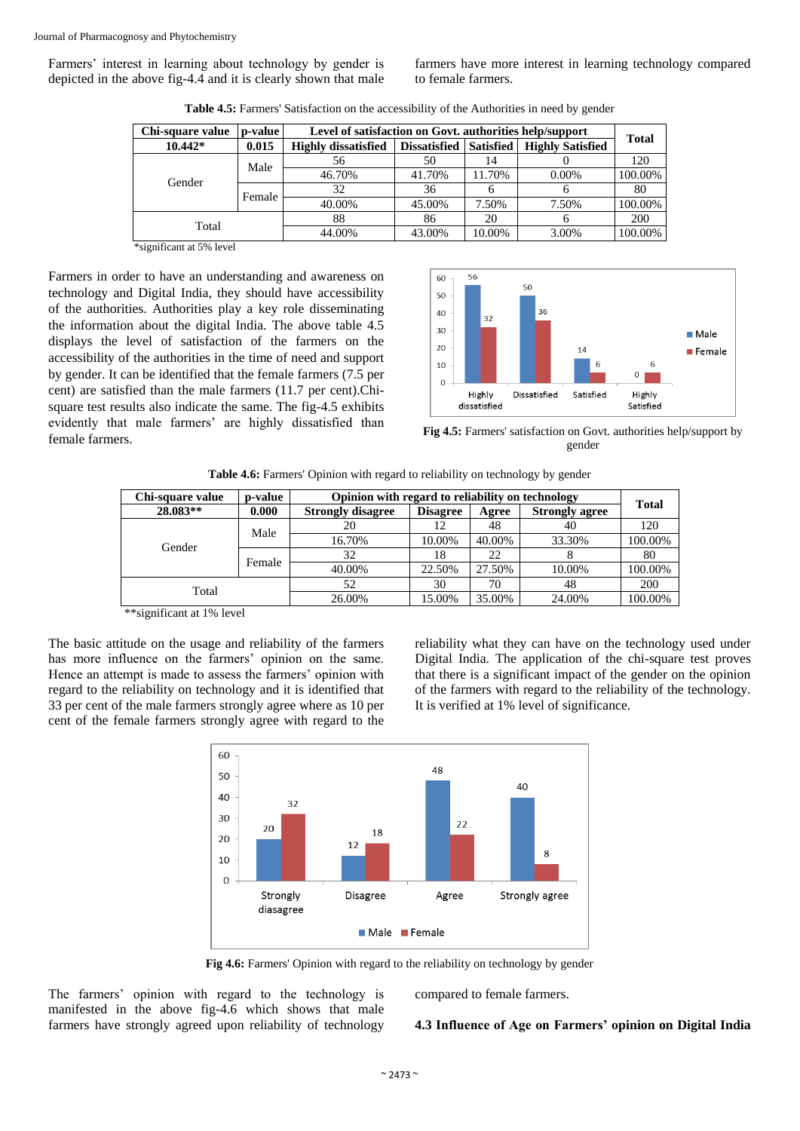Farmers' interest in learning about technology by gender is depicted in the above fig-4.4 and it is clearly shown that male

farmers have more interest in learning technology compared to female farmers.

| Chi-square value | p-value | Level of satisfaction on Govt. authorities help/support |                     |                  |                         |              |  |
|------------------|---------|---------------------------------------------------------|---------------------|------------------|-------------------------|--------------|--|
| $10.442*$        | 0.015   | <b>Highly dissatisfied</b>                              | <b>Dissatisfied</b> | <b>Satisfied</b> | <b>Highly Satisfied</b> | <b>Total</b> |  |
|                  | Male    | 56                                                      | 50                  | 14               |                         | 120          |  |
| Gender           |         | 46.70%                                                  | 41.70%              | 11.70%           | $0.00\%$                | 100.00%      |  |
|                  | Female  | 32                                                      | 36                  | h                | n                       | 80           |  |
|                  |         | 40.00%                                                  | 45.00%              | 7.50%            | 7.50%                   | 100.00%      |  |
|                  |         | 88                                                      | 86                  | 20               | n                       | 200          |  |
| Total            |         | 44.00%                                                  | 43.00%              | 10.00%           | 3.00%                   | 100.00%      |  |

**Table 4.5:** Farmers' Satisfaction on the accessibility of the Authorities in need by gender

\*significant at 5% level

Farmers in order to have an understanding and awareness on technology and Digital India, they should have accessibility of the authorities. Authorities play a key role disseminating the information about the digital India. The above table 4.5 displays the level of satisfaction of the farmers on the accessibility of the authorities in the time of need and support by gender. It can be identified that the female farmers (7.5 per cent) are satisfied than the male farmers (11.7 per cent).Chisquare test results also indicate the same. The fig-4.5 exhibits evidently that male farmers' are highly dissatisfied than female farmers. **Fig 4.5:** Farmers' satisfaction on Govt. authorities help/support by



gender

|  |  | Table 4.6: Farmers' Opinion with regard to reliability on technology by gender |
|--|--|--------------------------------------------------------------------------------|
|  |  |                                                                                |

| Chi-square value | p-value | Opinion with regard to reliability on technology | <b>Total</b>    |        |                       |         |
|------------------|---------|--------------------------------------------------|-----------------|--------|-----------------------|---------|
| 28.083**         | 0.000   | <b>Strongly disagree</b>                         | <b>Disagree</b> | Agree  | <b>Strongly agree</b> |         |
|                  | Male    | 20                                               | 12              | 48     | 40                    | 120     |
|                  |         | 16.70%                                           | 10.00%          | 40.00% | 33.30%                | 100.00% |
| Gender           | Female  | 32                                               | 18              | 22     |                       | 80      |
|                  |         | 40.00%                                           | 22.50%          | 27.50% | 10.00%                | 100.00% |
| Total            |         | 52                                               | 30              | 70     | 48                    | 200     |
|                  |         | 26.00%                                           | 15.00%          | 35.00% | 24.00%                | 100.00% |

\*\*significant at 1% level

The basic attitude on the usage and reliability of the farmers has more influence on the farmers' opinion on the same. Hence an attempt is made to assess the farmers' opinion with regard to the reliability on technology and it is identified that 33 per cent of the male farmers strongly agree where as 10 per cent of the female farmers strongly agree with regard to the

reliability what they can have on the technology used under Digital India. The application of the chi-square test proves that there is a significant impact of the gender on the opinion of the farmers with regard to the reliability of the technology. It is verified at 1% level of significance.



**Fig 4.6:** Farmers' Opinion with regard to the reliability on technology by gender

The farmers' opinion with regard to the technology is manifested in the above fig-4.6 which shows that male farmers have strongly agreed upon reliability of technology

compared to female farmers.

#### **4.3 Influence of Age on Farmers' opinion on Digital India**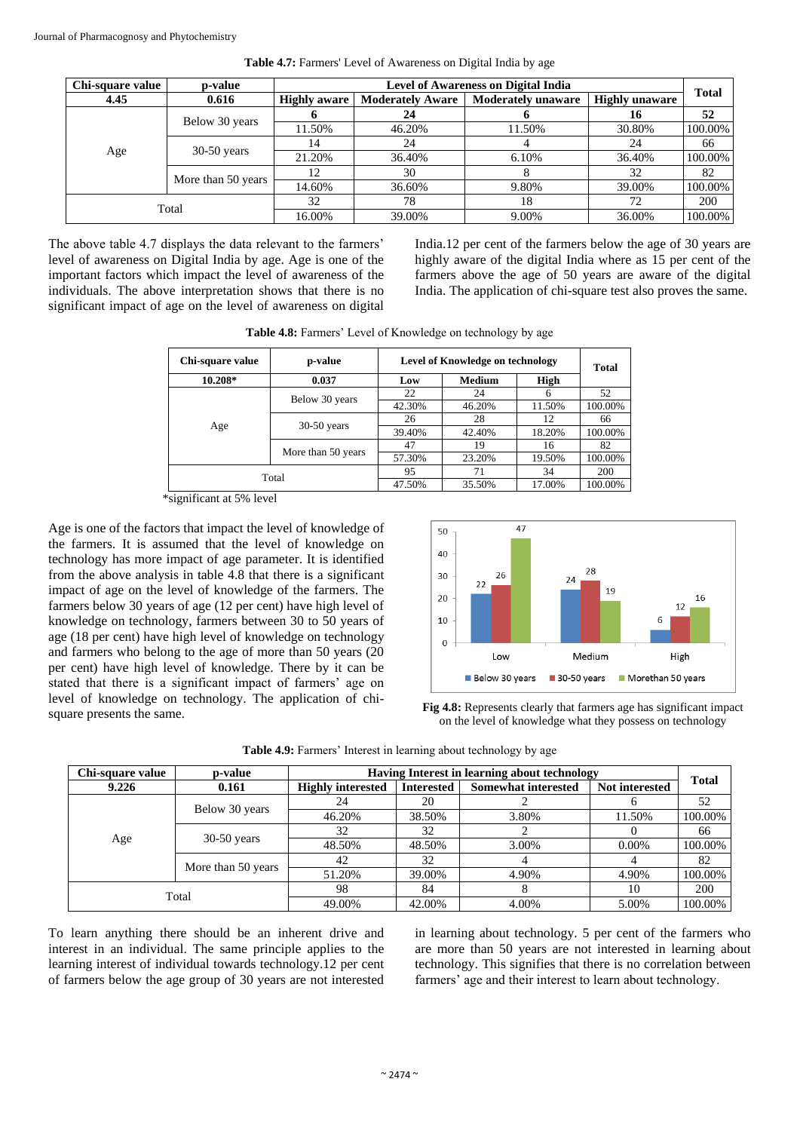| Chi-square value | p-value            | <b>Level of Awareness on Digital India</b>                                  |        |                       |        | <b>Total</b> |
|------------------|--------------------|-----------------------------------------------------------------------------|--------|-----------------------|--------|--------------|
| 4.45             | 0.616              | <b>Moderately Aware</b><br><b>Moderately unaware</b><br><b>Highly aware</b> |        | <b>Highly unaware</b> |        |              |
|                  |                    |                                                                             | 24     |                       | 16     | 52           |
| Age              | Below 30 years     | 11.50%                                                                      | 46.20% | 11.50%                | 30.80% | 100.00%      |
|                  | $30-50$ years      | 14                                                                          | 24     |                       | 24     | 66           |
|                  |                    | 21.20%                                                                      | 36.40% | 6.10%                 | 36.40% | 100.00%      |
|                  | More than 50 years | 12                                                                          | 30     | Ω                     | 32     | 82           |
|                  |                    | 14.60%                                                                      | 36.60% | 9.80%                 | 39.00% | 100.00%      |
| Total            |                    | 32                                                                          | 78     | 18                    | 72     | 200          |
|                  |                    | 16.00%                                                                      | 39.00% | 9.00%                 | 36.00% | 100.00%      |

**Table 4.7:** Farmers' Level of Awareness on Digital India by age

The above table 4.7 displays the data relevant to the farmers' level of awareness on Digital India by age. Age is one of the important factors which impact the level of awareness of the individuals. The above interpretation shows that there is no significant impact of age on the level of awareness on digital

India.12 per cent of the farmers below the age of 30 years are highly aware of the digital India where as 15 per cent of the farmers above the age of 50 years are aware of the digital India. The application of chi-square test also proves the same.

| Chi-square value<br>p-value |                    |        | <b>Level of Knowledge on technology</b> |        |         |  |  |
|-----------------------------|--------------------|--------|-----------------------------------------|--------|---------|--|--|
| 10.208*                     | 0.037              |        | <b>Medium</b>                           | High   |         |  |  |
|                             |                    | 22     | 24                                      |        | 52      |  |  |
| Age                         | Below 30 years     | 42.30% | 46.20%                                  | 11.50% | 100.00% |  |  |
|                             | $30-50$ years      | 26     | 28                                      | 12     | 66      |  |  |
|                             |                    | 39.40% | 42.40%                                  | 18.20% | 100.00% |  |  |
|                             |                    | 47     | 19                                      | 16     | 82      |  |  |
|                             | More than 50 years | 57.30% | 23.20%                                  | 19.50% | 100.00% |  |  |
|                             |                    | 95     | 71                                      | 34     | 200     |  |  |
|                             | Total              |        | 35.50%                                  | 17.00% | 100.00% |  |  |

**Table 4.8:** Farmers' Level of Knowledge on technology by age

\*significant at 5% level

Age is one of the factors that impact the level of knowledge of the farmers. It is assumed that the level of knowledge on technology has more impact of age parameter. It is identified from the above analysis in table 4.8 that there is a significant impact of age on the level of knowledge of the farmers. The farmers below 30 years of age (12 per cent) have high level of knowledge on technology, farmers between 30 to 50 years of age (18 per cent) have high level of knowledge on technology and farmers who belong to the age of more than 50 years (20 per cent) have high level of knowledge. There by it can be stated that there is a significant impact of farmers' age on level of knowledge on technology. The application of chi-**Fig 4.8:** Represents clearly that farmers age has significant impact square presents the same.



on the level of knowledge what they possess on technology

| Chi-square value | p-value            | Having Interest in learning about technology |                   |                            |                |              |
|------------------|--------------------|----------------------------------------------|-------------------|----------------------------|----------------|--------------|
| 9.226            | 0.161              | <b>Highly interested</b>                     | <b>Interested</b> | <b>Somewhat interested</b> | Not interested | <b>Total</b> |
|                  |                    | 24                                           | 20                |                            |                | 52           |
| Age              | Below 30 years     | 46.20%                                       | 38.50%            | 3.80%                      | 11.50%         | 100.00%      |
|                  | $30-50$ years      | 32                                           | 32                |                            |                | 66           |
|                  |                    | 48.50%                                       | 48.50%            | 3.00%                      | $0.00\%$       | 100.00%      |
|                  | More than 50 years | 42                                           | 32                |                            |                | 82           |
|                  |                    | 51.20%                                       | 39.00%            | 4.90%                      | 4.90%          | 100.00%      |
| Total            |                    | 98                                           | 84                |                            | 10             | 200          |
|                  |                    | 49.00%                                       | 42.00%            | 4.00%                      | 5.00%          | 100.00%      |

To learn anything there should be an inherent drive and interest in an individual. The same principle applies to the learning interest of individual towards technology.12 per cent of farmers below the age group of 30 years are not interested

in learning about technology. 5 per cent of the farmers who are more than 50 years are not interested in learning about technology. This signifies that there is no correlation between farmers' age and their interest to learn about technology.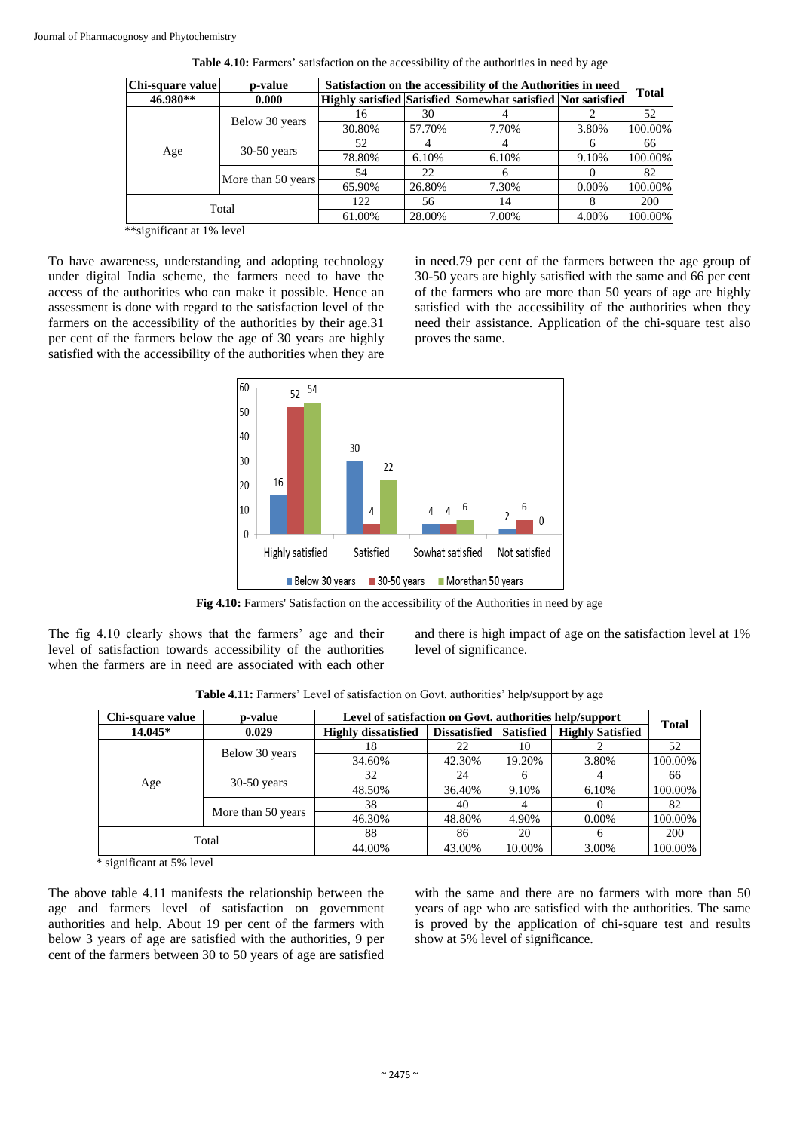| Chi-square value | p-value            |        | Satisfaction on the accessibility of the Authorities in need |                                                             |          |              |  |  |
|------------------|--------------------|--------|--------------------------------------------------------------|-------------------------------------------------------------|----------|--------------|--|--|
| 46.980**         | 0.000              |        |                                                              | Highly satisfied Satisfied Somewhat satisfied Not satisfied |          | <b>Total</b> |  |  |
|                  |                    | 16     | 30                                                           |                                                             |          | 52           |  |  |
|                  | Below 30 years     | 30.80% | 57.70%                                                       | 7.70%                                                       | 3.80%    | 100.00%      |  |  |
|                  | $30-50$ years      | 52     |                                                              |                                                             |          | 66           |  |  |
| Age              |                    | 78.80% | 6.10%                                                        | 6.10%                                                       | 9.10%    | 100.00%      |  |  |
|                  | More than 50 years | 54     | 22                                                           | 6                                                           |          | 82           |  |  |
|                  |                    | 65.90% | 26.80%                                                       | 7.30%                                                       | $0.00\%$ | 100.00%      |  |  |
| Total            |                    | 122    | 56                                                           | 14                                                          |          | 200          |  |  |
|                  |                    | 61.00% | 28.00%                                                       | 7.00%                                                       | 4.00%    | 100.00%      |  |  |

Table 4.10: Farmers' satisfaction on the accessibility of the authorities in need by age

\*\*significant at 1% level

To have awareness, understanding and adopting technology under digital India scheme, the farmers need to have the access of the authorities who can make it possible. Hence an assessment is done with regard to the satisfaction level of the farmers on the accessibility of the authorities by their age.31 per cent of the farmers below the age of 30 years are highly satisfied with the accessibility of the authorities when they are in need.79 per cent of the farmers between the age group of 30-50 years are highly satisfied with the same and 66 per cent of the farmers who are more than 50 years of age are highly satisfied with the accessibility of the authorities when they need their assistance. Application of the chi-square test also proves the same.



Fig 4.10: Farmers' Satisfaction on the accessibility of the Authorities in need by age

The fig 4.10 clearly shows that the farmers' age and their level of satisfaction towards accessibility of the authorities when the farmers are in need are associated with each other and there is high impact of age on the satisfaction level at 1% level of significance.

| Chi-square value | p-value            |                            | Level of satisfaction on Govt. authorities help/support |                  |                         |              |  |  |  |
|------------------|--------------------|----------------------------|---------------------------------------------------------|------------------|-------------------------|--------------|--|--|--|
| 14.045*          | 0.029              | <b>Highly dissatisfied</b> | <b>Dissatisfied</b>                                     | <b>Satisfied</b> | <b>Highly Satisfied</b> | <b>Total</b> |  |  |  |
|                  |                    | 18                         | 22                                                      | 10               |                         | 52           |  |  |  |
|                  | Below 30 years     | 34.60%                     | 42.30%                                                  | 19.20%           | 3.80%                   | 100.00%      |  |  |  |
|                  | $30-50$ years      | 32                         | 24                                                      |                  |                         | 66           |  |  |  |
| Age              |                    | 48.50%                     | 36.40%                                                  | 9.10%            | 6.10%                   | 100.00%      |  |  |  |
|                  | More than 50 years | 38                         | 40                                                      |                  |                         | 82           |  |  |  |
|                  |                    | 46.30%                     | 48.80%                                                  | 4.90%            | $0.00\%$                | 100.00%      |  |  |  |
| Total            |                    | 88                         | 86                                                      | 20               | h                       | 200          |  |  |  |
|                  |                    | 44.00%                     | 43.00%                                                  | 10.00%           | 3.00%                   | 100.00%      |  |  |  |

Table 4.11: Farmers' Level of satisfaction on Govt. authorities' help/support by age

\* significant at 5% level

The above table 4.11 manifests the relationship between the age and farmers level of satisfaction on government authorities and help. About 19 per cent of the farmers with below 3 years of age are satisfied with the authorities, 9 per cent of the farmers between 30 to 50 years of age are satisfied

with the same and there are no farmers with more than 50 years of age who are satisfied with the authorities. The same is proved by the application of chi-square test and results show at 5% level of significance.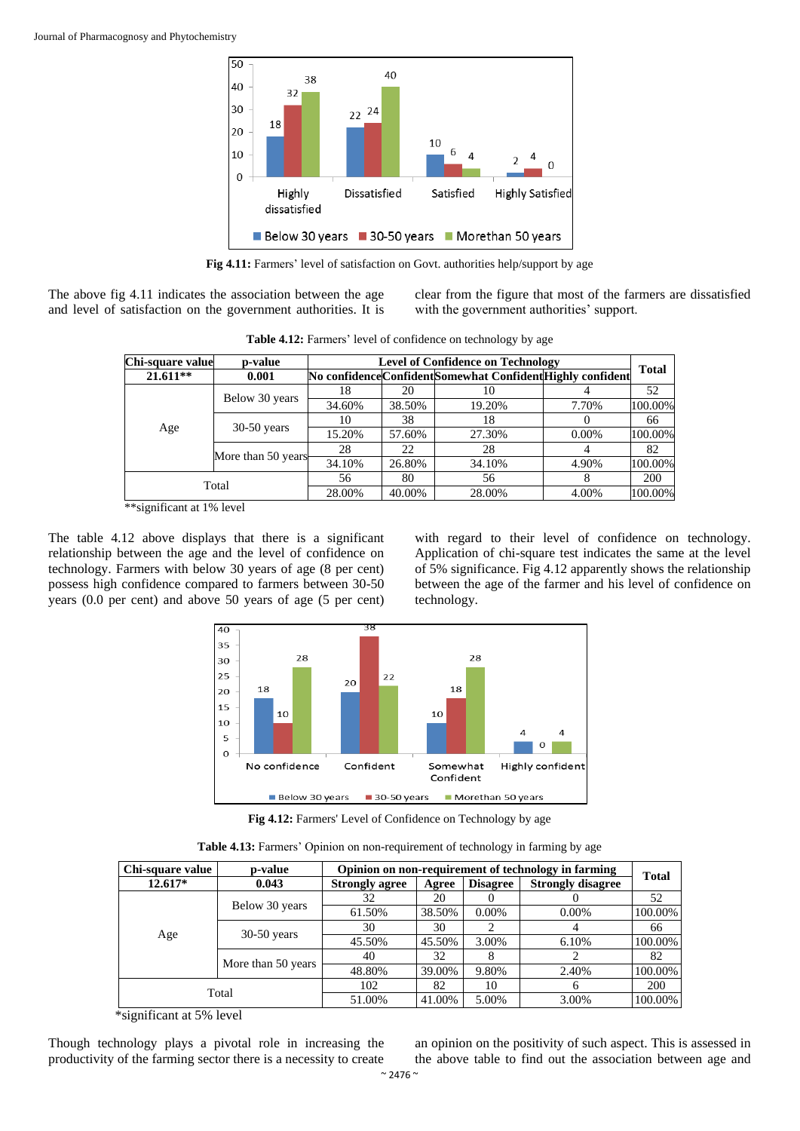

**Fig 4.11:** Farmers' level of satisfaction on Govt. authorities help/support by age

The above fig 4.11 indicates the association between the age and level of satisfaction on the government authorities. It is clear from the figure that most of the farmers are dissatisfied with the government authorities' support.

| Chi-square value | p-value            |        | <b>Level of Confidence on Technology</b> |                                                             |          |              |  |  |
|------------------|--------------------|--------|------------------------------------------|-------------------------------------------------------------|----------|--------------|--|--|
| $21.611**$       | 0.001              |        |                                          | No confidence Confident Somewhat Confident Highly confident |          | <b>Total</b> |  |  |
|                  |                    | 18     | 20                                       | 10                                                          |          | 52           |  |  |
|                  | Below 30 years     | 34.60% | 38.50%                                   | 19.20%                                                      | 7.70%    | 100.00%      |  |  |
|                  | $30-50$ years      | 10     | 38                                       | 18                                                          |          | 66           |  |  |
| Age              |                    | 15.20% | 57.60%                                   | 27.30%                                                      | $0.00\%$ | 100.00%      |  |  |
|                  |                    | 28     | 22                                       | 28                                                          |          | 82           |  |  |
|                  | More than 50 years | 34.10% | 26.80%                                   | 34.10%                                                      | 4.90%    | 100.00%      |  |  |
| Total            |                    | 56     | 80                                       | 56                                                          |          | 200          |  |  |
|                  |                    | 28.00% | 40.00%                                   | 28.00%                                                      | 4.00%    | 100.00%      |  |  |

Table 4.12: Farmers' level of confidence on technology by age

\*\*significant at 1% level

The table 4.12 above displays that there is a significant relationship between the age and the level of confidence on technology. Farmers with below 30 years of age (8 per cent) possess high confidence compared to farmers between 30-50 years (0.0 per cent) and above 50 years of age (5 per cent)

with regard to their level of confidence on technology. Application of chi-square test indicates the same at the level of 5% significance. Fig 4.12 apparently shows the relationship between the age of the farmer and his level of confidence on technology.



Fig 4.12: Farmers' Level of Confidence on Technology by age

**Table 4.13:** Farmers' Opinion on non-requirement of technology in farming by age

| Chi-square value | p-value            |                       | Opinion on non-requirement of technology in farming |                 |                          |              |  |  |  |  |
|------------------|--------------------|-----------------------|-----------------------------------------------------|-----------------|--------------------------|--------------|--|--|--|--|
| $12.617*$        | 0.043              | <b>Strongly agree</b> | Agree                                               | <b>Disagree</b> | <b>Strongly disagree</b> | <b>Total</b> |  |  |  |  |
|                  |                    | 32                    | 20                                                  |                 |                          | 52           |  |  |  |  |
|                  | Below 30 years     | 61.50%                | 38.50%                                              | 0.00%           | $0.00\%$                 | 100.00%      |  |  |  |  |
|                  | $30-50$ years      | 30                    | 30                                                  |                 |                          | 66           |  |  |  |  |
| Age              |                    | 45.50%                | 45.50%                                              | 3.00%           | 6.10%                    | 100.00%      |  |  |  |  |
|                  | More than 50 years | 40                    | 32                                                  |                 |                          | 82           |  |  |  |  |
|                  |                    | 48.80%                | 39.00%                                              | 9.80%           | 2.40%                    | 100.00%      |  |  |  |  |
| Total            |                    | 102                   | 82                                                  | 10              | <sub>6</sub>             | <b>200</b>   |  |  |  |  |
|                  |                    | 51.00%                | 41.00%                                              | 5.00%           | 3.00%                    | 100.00%      |  |  |  |  |

\*significant at 5% level

Though technology plays a pivotal role in increasing the productivity of the farming sector there is a necessity to create

an opinion on the positivity of such aspect. This is assessed in the above table to find out the association between age and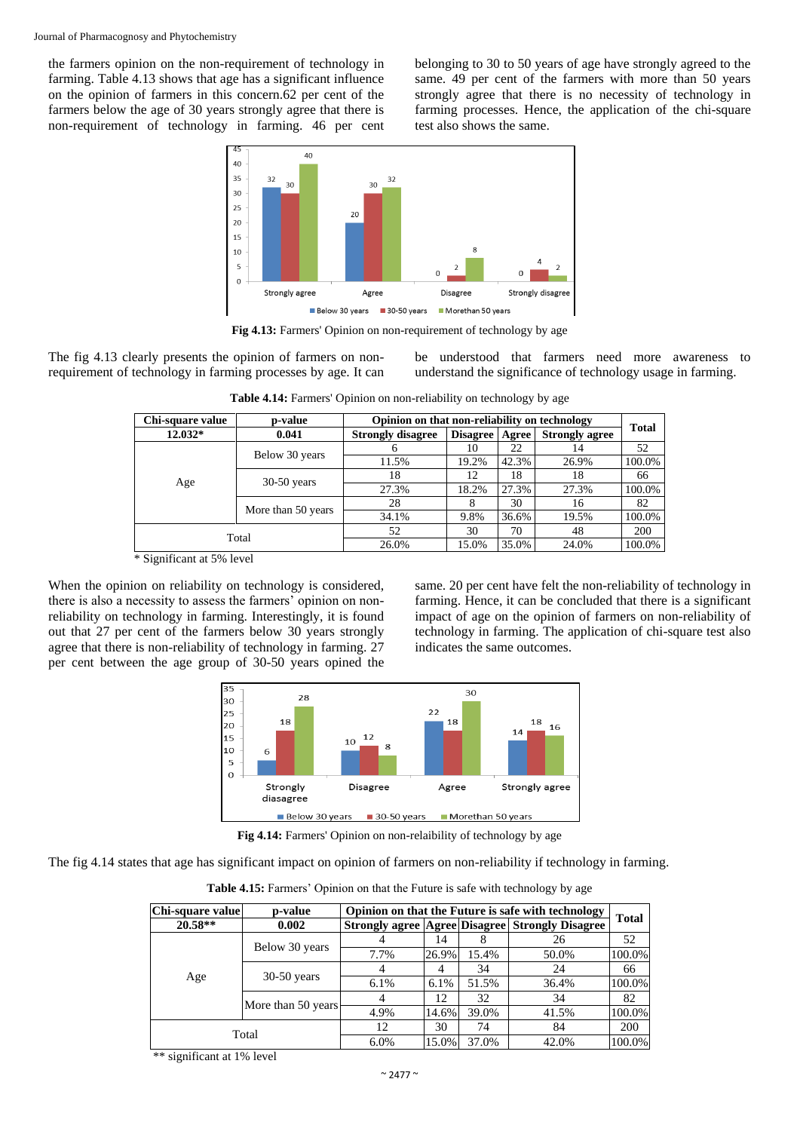the farmers opinion on the non-requirement of technology in farming. Table 4.13 shows that age has a significant influence on the opinion of farmers in this concern.62 per cent of the farmers below the age of 30 years strongly agree that there is non-requirement of technology in farming. 46 per cent belonging to 30 to 50 years of age have strongly agreed to the same. 49 per cent of the farmers with more than 50 years strongly agree that there is no necessity of technology in farming processes. Hence, the application of the chi-square test also shows the same.



**Fig 4.13:** Farmers' Opinion on non-requirement of technology by age

The fig 4.13 clearly presents the opinion of farmers on nonrequirement of technology in farming processes by age. It can be understood that farmers need more awareness to understand the significance of technology usage in farming.

| Chi-square value                | p-value            | Opinion on that non-reliability on technology |                 |       |                       |              |
|---------------------------------|--------------------|-----------------------------------------------|-----------------|-------|-----------------------|--------------|
| $12.032*$                       | 0.041              | <b>Strongly disagree</b>                      | <b>Disagree</b> | Agree | <b>Strongly agree</b> | <b>Total</b> |
|                                 |                    | h                                             | 10              | 22    | 14                    | 52           |
|                                 | Below 30 years     | 11.5%                                         | 19.2%           | 42.3% | 26.9%                 | 100.0%       |
|                                 | $30-50$ years      | 18                                            | 12              | 18    | 18                    | 66           |
| Age                             |                    | 27.3%                                         | 18.2%           | 27.3% | 27.3%                 | 100.0%       |
|                                 | More than 50 years | 28                                            |                 | 30    | 16                    | 82           |
|                                 |                    | 34.1%                                         | 9.8%            | 36.6% | 19.5%                 | 100.0%       |
|                                 |                    | 52                                            | 30              | 70    | 48                    | <b>200</b>   |
| Total                           |                    | 26.0%                                         | 15.0%           | 35.0% | 24.0%                 | 100.0%       |
| $\&$ Cignificant at $50/$ lavel |                    |                                               |                 |       |                       |              |

**Table 4.14:** Farmers' Opinion on non-reliability on technology by age

Significant at 5% level

When the opinion on reliability on technology is considered, there is also a necessity to assess the farmers' opinion on nonreliability on technology in farming. Interestingly, it is found out that 27 per cent of the farmers below 30 years strongly agree that there is non-reliability of technology in farming. 27 per cent between the age group of 30-50 years opined the same. 20 per cent have felt the non-reliability of technology in farming. Hence, it can be concluded that there is a significant impact of age on the opinion of farmers on non-reliability of technology in farming. The application of chi-square test also indicates the same outcomes.



**Fig 4.14:** Farmers' Opinion on non-relaibility of technology by age

The fig 4.14 states that age has significant impact on opinion of farmers on non-reliability if technology in farming.

Table 4.15: Farmers' Opinion on that the Future is safe with technology by age

| Chi-square value | p-value            |         |         |       | Opinion on that the Future is safe with technology           | <b>Total</b> |
|------------------|--------------------|---------|---------|-------|--------------------------------------------------------------|--------------|
| $20.58**$        | 0.002              |         |         |       | <b>Strongly agree   Agree   Disagree   Strongly Disagree</b> |              |
|                  |                    |         | 14      |       | 26                                                           | 52           |
|                  | Below 30 years     | 7.7%    | 26.9%   | 15.4% | 50.0%                                                        | 100.0%       |
|                  | $30-50$ years      |         | 4       | 34    | 24                                                           | 66           |
| Age              |                    | $6.1\%$ | $6.1\%$ | 51.5% | 36.4%                                                        | 100.0%       |
|                  |                    | 4       | 12      | 32    | 34                                                           | 82           |
|                  | More than 50 years | 4.9%    | 14.6%   | 39.0% | 41.5%                                                        | 100.0%       |
| Total            |                    | 12      | 30      | 74    | 84                                                           | 200          |
|                  |                    | 6.0%    | 15.0%   | 37.0% | 42.0%                                                        | 100.0%       |

\*\* significant at 1% level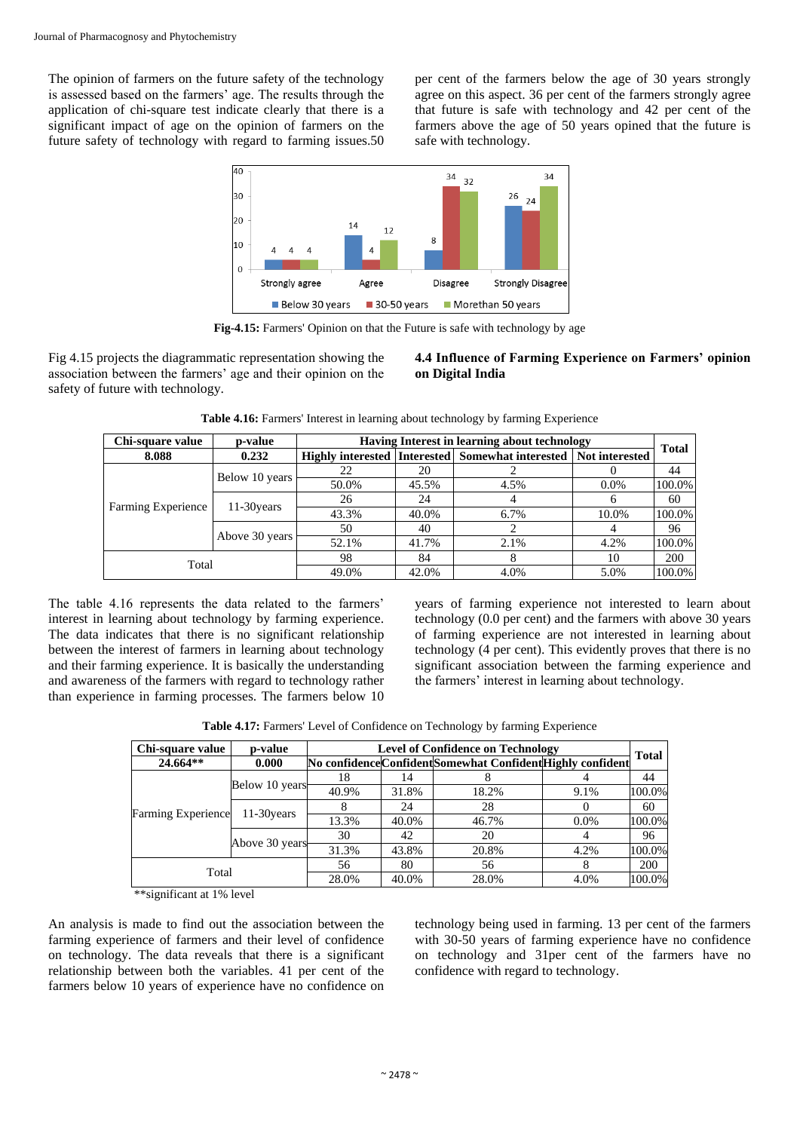The opinion of farmers on the future safety of the technology is assessed based on the farmers' age. The results through the application of chi-square test indicate clearly that there is a significant impact of age on the opinion of farmers on the future safety of technology with regard to farming issues.50

per cent of the farmers below the age of 30 years strongly agree on this aspect. 36 per cent of the farmers strongly agree that future is safe with technology and 42 per cent of the farmers above the age of 50 years opined that the future is safe with technology.



**Fig-4.15:** Farmers' Opinion on that the Future is safe with technology by age

Fig 4.15 projects the diagrammatic representation showing the association between the farmers' age and their opinion on the safety of future with technology.

**4.4 Influence of Farming Experience on Farmers' opinion on Digital India**

| Chi-square value   | <b>p-value</b> |       |                                                                       | Having Interest in learning about technology |         | <b>Total</b> |  |  |  |
|--------------------|----------------|-------|-----------------------------------------------------------------------|----------------------------------------------|---------|--------------|--|--|--|
| 8.088              | 0.232          |       | Highly interested   Interested   Somewhat interested   Not interested |                                              |         |              |  |  |  |
|                    |                | 22    | 20                                                                    |                                              |         | 44           |  |  |  |
|                    | Below 10 years | 50.0% | 45.5%                                                                 | 4.5%                                         | $0.0\%$ | 100.0%       |  |  |  |
|                    | $11-30$ years  | 26    | 24                                                                    |                                              |         | 60           |  |  |  |
| Farming Experience |                | 43.3% | 40.0%                                                                 | 6.7%                                         | 10.0%   | 100.0%       |  |  |  |
|                    |                | 50    | 40                                                                    |                                              |         | 96           |  |  |  |
|                    | Above 30 years | 52.1% | 41.7%                                                                 | 2.1%                                         | 4.2%    | 100.0%       |  |  |  |
| Total              |                | 98    | 84                                                                    | 8                                            | 10      | <b>200</b>   |  |  |  |
|                    |                | 49.0% | 42.0%                                                                 | 4.0%                                         | 5.0%    | 100.0%       |  |  |  |

**Table 4.16:** Farmers' Interest in learning about technology by farming Experience

The table 4.16 represents the data related to the farmers' interest in learning about technology by farming experience. The data indicates that there is no significant relationship between the interest of farmers in learning about technology and their farming experience. It is basically the understanding and awareness of the farmers with regard to technology rather than experience in farming processes. The farmers below 10 years of farming experience not interested to learn about technology (0.0 per cent) and the farmers with above 30 years of farming experience are not interested in learning about technology (4 per cent). This evidently proves that there is no significant association between the farming experience and the farmers' interest in learning about technology.

**Table 4.17:** Farmers' Level of Confidence on Technology by farming Experience

| Chi-square value          | p-value        |       | <b>Level of Confidence on Technology</b> |                                                             |      |              |  |  |  |
|---------------------------|----------------|-------|------------------------------------------|-------------------------------------------------------------|------|--------------|--|--|--|
| 24.664**                  | 0.000          |       |                                          | No confidence Confident Somewhat Confident Highly confident |      | <b>Total</b> |  |  |  |
|                           | Below 10 years | 18    | 14                                       |                                                             |      | 44           |  |  |  |
|                           |                | 40.9% | 31.8%                                    | 18.2%                                                       | 9.1% | 100.0%       |  |  |  |
|                           | 11-30 years    |       | 24                                       | 28                                                          |      | 60           |  |  |  |
| <b>Farming Experience</b> |                | 13.3% | 40.0%                                    | 46.7%                                                       | 0.0% | 100.0%       |  |  |  |
|                           | Above 30 years | 30    | 42                                       | 20                                                          |      | 96           |  |  |  |
|                           |                | 31.3% | 43.8%                                    | 20.8%                                                       | 4.2% | 100.0%       |  |  |  |
| Total                     |                | 56    | 80                                       | 56                                                          |      | 200          |  |  |  |
|                           |                | 28.0% | 40.0%                                    | 28.0%                                                       | 4.0% | 100.0%       |  |  |  |

\*\*significant at 1% level

An analysis is made to find out the association between the farming experience of farmers and their level of confidence on technology. The data reveals that there is a significant relationship between both the variables. 41 per cent of the farmers below 10 years of experience have no confidence on

technology being used in farming. 13 per cent of the farmers with 30-50 years of farming experience have no confidence on technology and 31per cent of the farmers have no confidence with regard to technology.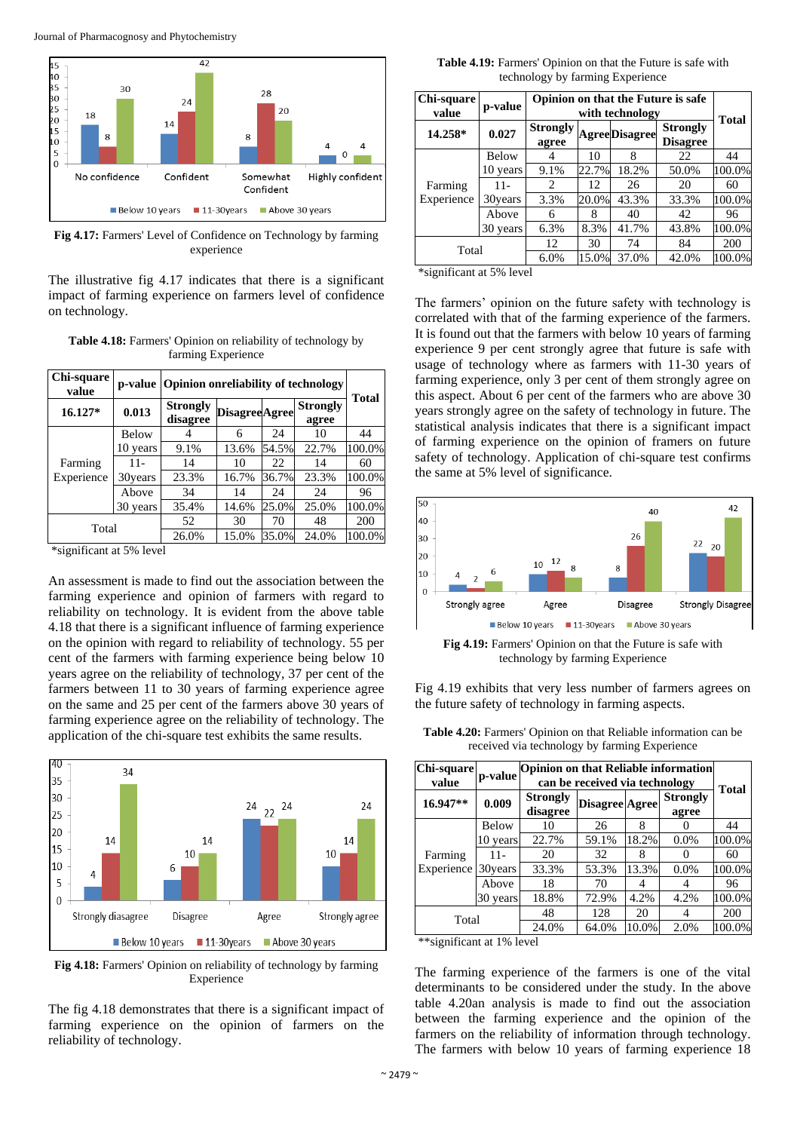Journal of Pharmacognosy and Phytochemistry



**Fig 4.17:** Farmers' Level of Confidence on Technology by farming experience

The illustrative fig 4.17 indicates that there is a significant impact of farming experience on farmers level of confidence on technology.

**Table 4.18:** Farmers' Opinion on reliability of technology by farming Experience

| Chi-square<br>value |              |                             | p-value Opinion onreliability of technology |       |                          |              |  |  |  |
|---------------------|--------------|-----------------------------|---------------------------------------------|-------|--------------------------|--------------|--|--|--|
| $16.127*$           | 0.013        | <b>Strongly</b><br>disagree | <b>DisagreeAgree</b>                        |       | <b>Strongly</b><br>agree | <b>Total</b> |  |  |  |
|                     | <b>Below</b> |                             | 6                                           | 24    | 10                       | 44           |  |  |  |
|                     | 10 years     | 9.1%                        | 13.6%                                       | 54.5% | 22.7%                    | 100.0%       |  |  |  |
| Farming             | $11 -$       | 14                          | 10                                          | 22    | 14                       | 60           |  |  |  |
| Experience          | 30years      | 23.3%                       | 16.7%                                       | 36.7% | 23.3%                    | 100.0%       |  |  |  |
|                     | Above        | 34                          | 14                                          | 24    | 24                       | 96           |  |  |  |
|                     | 30 years     | 35.4%                       | 14.6%                                       | 25.0% | 25.0%                    | 100.0%       |  |  |  |
| Total               |              | 52                          | 30                                          | 70    | 48                       | 200          |  |  |  |
|                     |              | 26.0%                       | 15.0%                                       | 35.0% | 24.0%                    | 100.0%       |  |  |  |

\*significant at 5% level

An assessment is made to find out the association between the farming experience and opinion of farmers with regard to reliability on technology. It is evident from the above table 4.18 that there is a significant influence of farming experience on the opinion with regard to reliability of technology. 55 per cent of the farmers with farming experience being below 10 years agree on the reliability of technology, 37 per cent of the farmers between 11 to 30 years of farming experience agree on the same and 25 per cent of the farmers above 30 years of farming experience agree on the reliability of technology. The application of the chi-square test exhibits the same results.



**Fig 4.18:** Farmers' Opinion on reliability of technology by farming Experience

The fig 4.18 demonstrates that there is a significant impact of farming experience on the opinion of farmers on the reliability of technology.

**Table 4.19:** Farmers' Opinion on that the Future is safe with technology by farming Experience

| Chi-square<br>value | p-value  |                          | Opinion on that the Future is safe<br>with technology |                      |                                    |        |  |  |  |
|---------------------|----------|--------------------------|-------------------------------------------------------|----------------------|------------------------------------|--------|--|--|--|
| 14.258*             | 0.027    | <b>Strongly</b><br>agree |                                                       | <b>AgreeDisagree</b> | <b>Strongly</b><br><b>Disagree</b> | Total  |  |  |  |
|                     | Below    |                          | 10                                                    | 8                    | 22                                 | 44     |  |  |  |
|                     | 10 years | 9.1%                     | 22.7%                                                 | 18.2%                | 50.0%                              | 100.0% |  |  |  |
| Farming             | 11-      | $\mathfrak{D}$           | 12.                                                   | 26                   | 20                                 | 60     |  |  |  |
| Experience          | 30years  | 3.3%                     | 20.0%                                                 | 43.3%                | 33.3%                              | 100.0% |  |  |  |
|                     | Above    | 6                        | 8                                                     | 40                   | 42                                 | 96     |  |  |  |
|                     | 30 years | 6.3%                     | 8.3%                                                  | 41.7%                | 43.8%                              | 100.0% |  |  |  |
| Total               |          | 12                       | 30                                                    | 74                   | 84                                 | 200    |  |  |  |
|                     |          | 6.0%                     | 15.0%                                                 | 37.0%                | 42.0%                              | 100.0% |  |  |  |

\*significant at 5% level

The farmers' opinion on the future safety with technology is correlated with that of the farming experience of the farmers. It is found out that the farmers with below 10 years of farming experience 9 per cent strongly agree that future is safe with usage of technology where as farmers with 11-30 years of farming experience, only 3 per cent of them strongly agree on this aspect. About 6 per cent of the farmers who are above 30 years strongly agree on the safety of technology in future. The statistical analysis indicates that there is a significant impact of farming experience on the opinion of framers on future safety of technology. Application of chi-square test confirms the same at 5% level of significance.



**Fig 4.19:** Farmers' Opinion on that the Future is safe with technology by farming Experience

Fig 4.19 exhibits that very less number of farmers agrees on the future safety of technology in farming aspects.

| <b>Chi-square</b><br>value | p-value      |                             | <b>Opinion on that Reliable information</b><br>can be received via technology |       |                          |              |  |  |  |
|----------------------------|--------------|-----------------------------|-------------------------------------------------------------------------------|-------|--------------------------|--------------|--|--|--|
| 16.947**                   | 0.009        | <b>Strongly</b><br>disagree | Disagree Agree                                                                |       | <b>Strongly</b><br>agree | <b>Total</b> |  |  |  |
|                            | <b>Below</b> | 10                          | 26                                                                            | 8     |                          | 44           |  |  |  |
|                            | 10 years     | 22.7%                       | 59.1%                                                                         | 18.2% | 0.0%                     | 100.0%       |  |  |  |
| Farming                    | $11-$        | 20                          | 32                                                                            | 8     |                          | 60           |  |  |  |
| Experience                 | 30 years     | 33.3%                       | 53.3%                                                                         | 13.3% | $0.0\%$                  | 100.0%       |  |  |  |
|                            | Above        | 18                          | 70                                                                            | 4     |                          | 96           |  |  |  |
|                            | 30 years     | 18.8%                       | 72.9%                                                                         | 4.2%  | 4.2%                     | 100.0%       |  |  |  |
| Total                      |              | 48                          | 128                                                                           | 20    | 4                        | 200          |  |  |  |
|                            |              | 24.0%                       | 64.0%                                                                         | 10.0% | 2.0%                     | 100.0%       |  |  |  |

**Table 4.20:** Farmers' Opinion on that Reliable information can be received via technology by farming Experience

\*\*significant at 1% level

The farming experience of the farmers is one of the vital determinants to be considered under the study. In the above table 4.20an analysis is made to find out the association between the farming experience and the opinion of the farmers on the reliability of information through technology. The farmers with below 10 years of farming experience 18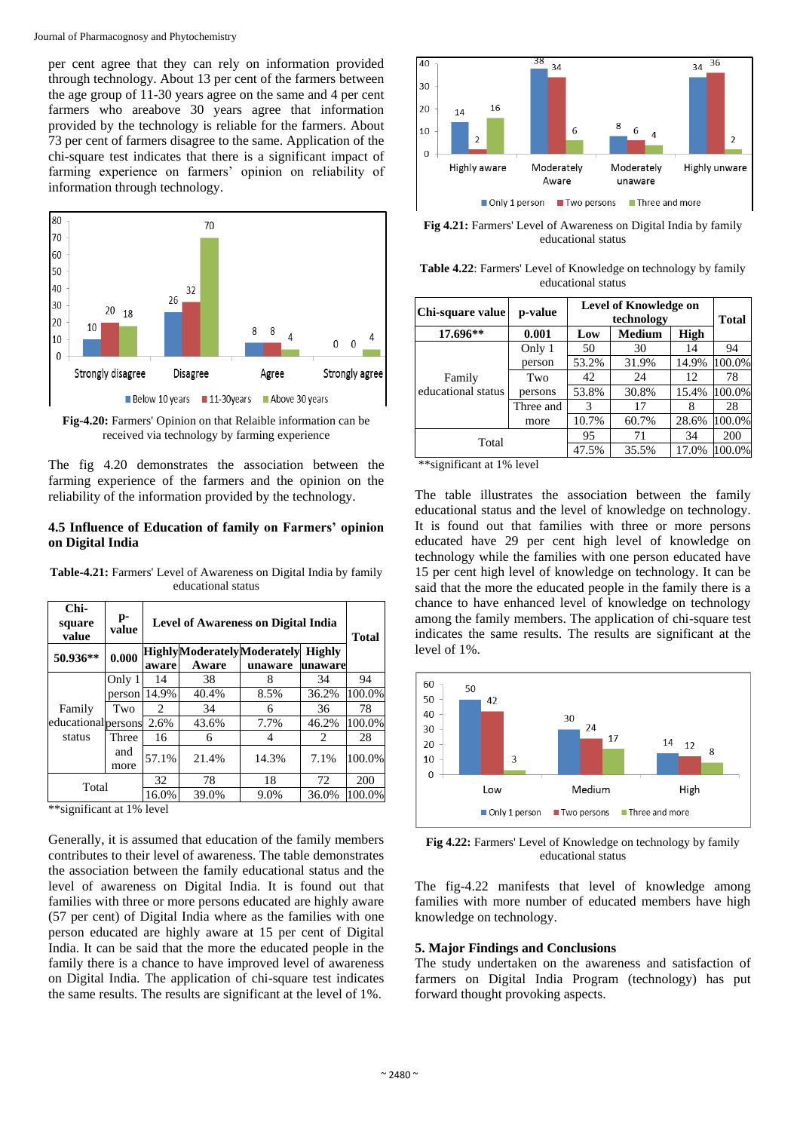per cent agree that they can rely on information provided through technology. About 13 per cent of the farmers between the age group of 11-30 years agree on the same and 4 per cent farmers who areabove 30 years agree that information provided by the technology is reliable for the farmers. About 73 per cent of farmers disagree to the same. Application of the chi-square test indicates that there is a significant impact of farming experience on farmers' opinion on reliability of information through technology.



**Fig-4.20:** Farmers' Opinion on that Relaible information can be received via technology by farming experience

The fig 4.20 demonstrates the association between the farming experience of the farmers and the opinion on the reliability of the information provided by the technology.

#### **4.5 Influence of Education of family on Farmers' opinion on Digital India**

| Chi-<br>square<br>value                                                                                                                                                                                                                                                                                             | p-<br>value |       | <b>Level of Awareness on Digital India</b> |                                   |               |        |  |  |  |
|---------------------------------------------------------------------------------------------------------------------------------------------------------------------------------------------------------------------------------------------------------------------------------------------------------------------|-------------|-------|--------------------------------------------|-----------------------------------|---------------|--------|--|--|--|
| 50.936**                                                                                                                                                                                                                                                                                                            | 0.000       |       |                                            | <b>HighlyModeratelyModerately</b> | <b>Highly</b> |        |  |  |  |
|                                                                                                                                                                                                                                                                                                                     |             | aware | Aware                                      | unaware                           | unaware       |        |  |  |  |
|                                                                                                                                                                                                                                                                                                                     | Only 1      | 14    | 38                                         | 8                                 | 34            | 94     |  |  |  |
|                                                                                                                                                                                                                                                                                                                     | person      | 14.9% | 40.4%                                      | 8.5%                              | 36.2%         | 100.0% |  |  |  |
| Family                                                                                                                                                                                                                                                                                                              | Two         | 2     | 34                                         | 6                                 | 36            | 78     |  |  |  |
| educationalpersons                                                                                                                                                                                                                                                                                                  |             | 2.6%  | 43.6%                                      | 7.7%                              | 46.2%         | 100.0% |  |  |  |
| status                                                                                                                                                                                                                                                                                                              | Three       | 16    | 6                                          | 4                                 | 2             | 28     |  |  |  |
|                                                                                                                                                                                                                                                                                                                     | and<br>more | 57.1% | 21.4%                                      | 14.3%                             | 7.1%          | 100.0% |  |  |  |
|                                                                                                                                                                                                                                                                                                                     |             | 32    | 78                                         | 18                                | 72            | 200    |  |  |  |
|                                                                                                                                                                                                                                                                                                                     | Total       |       | 39.0%                                      | 9.0%                              | 36.0%         | 100.0% |  |  |  |
| $\frac{1}{2}$ $\frac{1}{2}$ $\frac{1}{2}$ $\frac{1}{2}$ $\frac{1}{2}$ $\frac{1}{2}$ $\frac{1}{2}$ $\frac{1}{2}$ $\frac{1}{2}$ $\frac{1}{2}$ $\frac{1}{2}$ $\frac{1}{2}$ $\frac{1}{2}$ $\frac{1}{2}$ $\frac{1}{2}$ $\frac{1}{2}$ $\frac{1}{2}$ $\frac{1}{2}$ $\frac{1}{2}$ $\frac{1}{2}$ $\frac{1}{2}$ $\frac{1}{2}$ |             |       |                                            |                                   |               |        |  |  |  |

**Table-4.21:** Farmers' Level of Awareness on Digital India by family educational status

\*\*significant at 1% level

Generally, it is assumed that education of the family members contributes to their level of awareness. The table demonstrates the association between the family educational status and the level of awareness on Digital India. It is found out that families with three or more persons educated are highly aware (57 per cent) of Digital India where as the families with one person educated are highly aware at 15 per cent of Digital India. It can be said that the more the educated people in the family there is a chance to have improved level of awareness on Digital India. The application of chi-square test indicates the same results. The results are significant at the level of 1%.



**Fig 4.21:** Farmers' Level of Awareness on Digital India by family educational status

**Table 4.22**: Farmers' Level of Knowledge on technology by family educational status

| Chi-square value                                   | p-value   | <b>Level of Knowledge on</b> |               |       |        |
|----------------------------------------------------|-----------|------------------------------|---------------|-------|--------|
|                                                    |           | technology                   |               |       | Total  |
| 17.696**                                           | 0.001     | Low                          | <b>Medium</b> | High  |        |
| Family<br>educational status                       | Only 1    | 50                           | 30            | 14    | 94     |
|                                                    | person    | 53.2%                        | 31.9%         | 14.9% | 100.0% |
|                                                    | Two       | 42                           | 24            | 12    | 78     |
|                                                    | persons   | 53.8%                        | 30.8%         | 15.4% | 100.0% |
|                                                    | Three and | 3                            | 17            |       | 28     |
|                                                    | more      | 10.7%                        | 60.7%         | 28.6% | 100.0% |
| Total                                              |           | 95                           | 71            | 34    | 200    |
|                                                    |           | 47.5%                        | 35.5%         | 17.0% | 100.0% |
| * ماه ماه<br>$\cdot$ $\sim$<br>$\sim$ $101$<br>- 1 |           |                              |               |       |        |

\*\*significant at 1% level

The table illustrates the association between the family educational status and the level of knowledge on technology. It is found out that families with three or more persons educated have 29 per cent high level of knowledge on technology while the families with one person educated have 15 per cent high level of knowledge on technology. It can be said that the more the educated people in the family there is a chance to have enhanced level of knowledge on technology among the family members. The application of chi-square test indicates the same results. The results are significant at the level of 1%.



**Fig 4.22:** Farmers' Level of Knowledge on technology by family educational status

The fig-4.22 manifests that level of knowledge among families with more number of educated members have high knowledge on technology.

#### **5. Major Findings and Conclusions**

The study undertaken on the awareness and satisfaction of farmers on Digital India Program (technology) has put forward thought provoking aspects.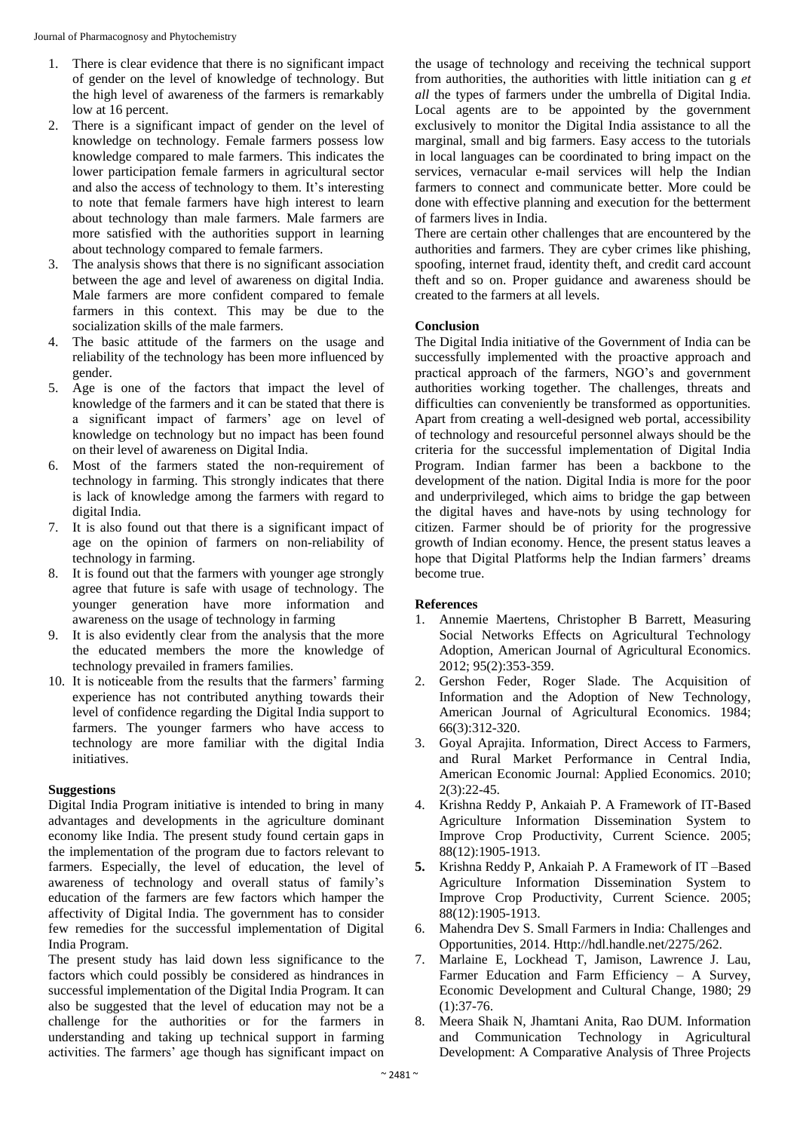- 1. There is clear evidence that there is no significant impact of gender on the level of knowledge of technology. But the high level of awareness of the farmers is remarkably low at 16 percent.
- 2. There is a significant impact of gender on the level of knowledge on technology. Female farmers possess low knowledge compared to male farmers. This indicates the lower participation female farmers in agricultural sector and also the access of technology to them. It's interesting to note that female farmers have high interest to learn about technology than male farmers. Male farmers are more satisfied with the authorities support in learning about technology compared to female farmers.
- 3. The analysis shows that there is no significant association between the age and level of awareness on digital India. Male farmers are more confident compared to female farmers in this context. This may be due to the socialization skills of the male farmers.
- 4. The basic attitude of the farmers on the usage and reliability of the technology has been more influenced by gender.
- 5. Age is one of the factors that impact the level of knowledge of the farmers and it can be stated that there is a significant impact of farmers' age on level of knowledge on technology but no impact has been found on their level of awareness on Digital India.
- 6. Most of the farmers stated the non-requirement of technology in farming. This strongly indicates that there is lack of knowledge among the farmers with regard to digital India.
- 7. It is also found out that there is a significant impact of age on the opinion of farmers on non-reliability of technology in farming.
- 8. It is found out that the farmers with younger age strongly agree that future is safe with usage of technology. The younger generation have more information and awareness on the usage of technology in farming
- 9. It is also evidently clear from the analysis that the more the educated members the more the knowledge of technology prevailed in framers families.
- 10. It is noticeable from the results that the farmers' farming experience has not contributed anything towards their level of confidence regarding the Digital India support to farmers. The younger farmers who have access to technology are more familiar with the digital India initiatives.

## **Suggestions**

Digital India Program initiative is intended to bring in many advantages and developments in the agriculture dominant economy like India. The present study found certain gaps in the implementation of the program due to factors relevant to farmers. Especially, the level of education, the level of awareness of technology and overall status of family's education of the farmers are few factors which hamper the affectivity of Digital India. The government has to consider few remedies for the successful implementation of Digital India Program.

The present study has laid down less significance to the factors which could possibly be considered as hindrances in successful implementation of the Digital India Program. It can also be suggested that the level of education may not be a challenge for the authorities or for the farmers in understanding and taking up technical support in farming activities. The farmers' age though has significant impact on

the usage of technology and receiving the technical support from authorities, the authorities with little initiation can g *et all* the types of farmers under the umbrella of Digital India. Local agents are to be appointed by the government exclusively to monitor the Digital India assistance to all the marginal, small and big farmers. Easy access to the tutorials in local languages can be coordinated to bring impact on the services, vernacular e-mail services will help the Indian farmers to connect and communicate better. More could be done with effective planning and execution for the betterment of farmers lives in India.

There are certain other challenges that are encountered by the authorities and farmers. They are cyber crimes like phishing, spoofing, internet fraud, identity theft, and credit card account theft and so on. Proper guidance and awareness should be created to the farmers at all levels.

## **Conclusion**

The Digital India initiative of the Government of India can be successfully implemented with the proactive approach and practical approach of the farmers, NGO's and government authorities working together. The challenges, threats and difficulties can conveniently be transformed as opportunities. Apart from creating a well-designed web portal, accessibility of technology and resourceful personnel always should be the criteria for the successful implementation of Digital India Program. Indian farmer has been a backbone to the development of the nation. Digital India is more for the poor and underprivileged, which aims to bridge the gap between the digital haves and have-nots by using technology for citizen. Farmer should be of priority for the progressive growth of Indian economy. Hence, the present status leaves a hope that Digital Platforms help the Indian farmers' dreams become true.

#### **References**

- 1. Annemie Maertens, Christopher B Barrett, Measuring Social Networks Effects on Agricultural Technology Adoption, American Journal of Agricultural Economics. 2012; 95(2):353-359.
- 2. Gershon Feder, Roger Slade. The Acquisition of Information and the Adoption of New Technology, American Journal of Agricultural Economics. 1984; 66(3):312-320.
- 3. Goyal Aprajita. Information, Direct Access to Farmers, and Rural Market Performance in Central India, American Economic Journal: Applied Economics. 2010; 2(3):22-45.
- 4. Krishna Reddy P, Ankaiah P. A Framework of IT-Based Agriculture Information Dissemination System to Improve Crop Productivity, Current Science. 2005; 88(12):1905-1913.
- **5.** Krishna Reddy P, Ankaiah P. A Framework of IT –Based Agriculture Information Dissemination System to Improve Crop Productivity, Current Science. 2005; 88(12):1905-1913.
- 6. Mahendra Dev S. Small Farmers in India: Challenges and Opportunities, 2014. Http://hdl.handle.net/2275/262.
- 7. Marlaine E, Lockhead T, Jamison, Lawrence J. Lau, Farmer Education and Farm Efficiency – A Survey, Economic Development and Cultural Change, 1980; 29  $(1):37-76.$
- 8. Meera Shaik N, Jhamtani Anita, Rao DUM. Information and Communication Technology in Agricultural Development: A Comparative Analysis of Three Projects